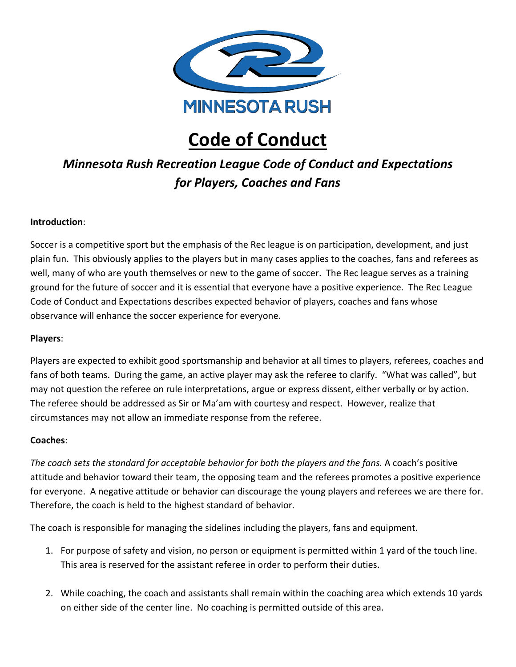

# **Code of Conduct**

## *Minnesota Rush Recreation League Code of Conduct and Expectations for Players, Coaches and Fans*

### **Introduction**:

Soccer is a competitive sport but the emphasis of the Rec league is on participation, development, and just plain fun. This obviously applies to the players but in many cases applies to the coaches, fans and referees as well, many of who are youth themselves or new to the game of soccer. The Rec league serves as a training ground for the future of soccer and it is essential that everyone have a positive experience. The Rec League Code of Conduct and Expectations describes expected behavior of players, coaches and fans whose observance will enhance the soccer experience for everyone.

### **Players**:

Players are expected to exhibit good sportsmanship and behavior at all times to players, referees, coaches and fans of both teams. During the game, an active player may ask the referee to clarify. "What was called", but may not question the referee on rule interpretations, argue or express dissent, either verbally or by action. The referee should be addressed as Sir or Ma'am with courtesy and respect. However, realize that circumstances may not allow an immediate response from the referee.

### **Coaches**:

*The coach sets the standard for acceptable behavior for both the players and the fans.* A coach's positive attitude and behavior toward their team, the opposing team and the referees promotes a positive experience for everyone. A negative attitude or behavior can discourage the young players and referees we are there for. Therefore, the coach is held to the highest standard of behavior.

The coach is responsible for managing the sidelines including the players, fans and equipment.

- 1. For purpose of safety and vision, no person or equipment is permitted within 1 yard of the touch line. This area is reserved for the assistant referee in order to perform their duties.
- 2. While coaching, the coach and assistants shall remain within the coaching area which extends 10 yards on either side of the center line. No coaching is permitted outside of this area.